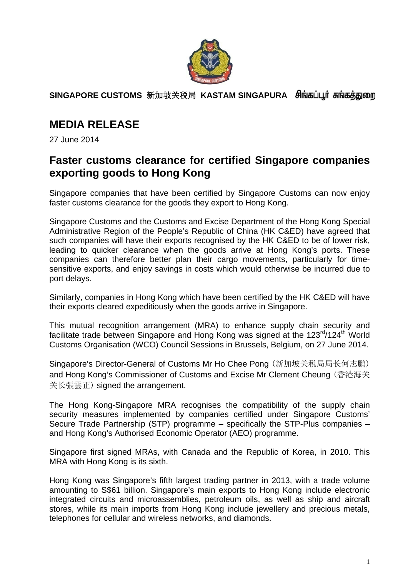

**SINGAPORE CUSTOMS** 新加坡关税局 **KASTAM SINGAPURA** 

# **MEDIA RELEASE**

27 June 2014

### **Faster customs clearance for certified Singapore companies exporting goods to Hong Kong**

Singapore companies that have been certified by Singapore Customs can now enjoy faster customs clearance for the goods they export to Hong Kong.

Singapore Customs and the Customs and Excise Department of the Hong Kong Special Administrative Region of the People's Republic of China (HK C&ED) have agreed that such companies will have their exports recognised by the HK C&ED to be of lower risk, leading to quicker clearance when the goods arrive at Hong Kong's ports. These companies can therefore better plan their cargo movements, particularly for timesensitive exports, and enjoy savings in costs which would otherwise be incurred due to port delays.

Similarly, companies in Hong Kong which have been certified by the HK C&ED will have their exports cleared expeditiously when the goods arrive in Singapore.

This mutual recognition arrangement (MRA) to enhance supply chain security and facilitate trade between Singapore and Hong Kong was signed at the 123<sup>rd</sup>/124<sup>th</sup> World Customs Organisation (WCO) Council Sessions in Brussels, Belgium, on 27 June 2014.

Singapore's Director-General of Customs Mr Ho Chee Pong (新加坡关税局局长何志鹏) and Hong Kong's Commissioner of Customs and Excise Mr Clement Cheung (香港海关 关长張雲正) signed the arrangement.

The Hong Kong-Singapore MRA recognises the compatibility of the supply chain security measures implemented by companies certified under Singapore Customs' Secure Trade Partnership (STP) programme – specifically the STP-Plus companies – and Hong Kong's Authorised Economic Operator (AEO) programme.

Singapore first signed MRAs, with Canada and the Republic of Korea, in 2010. This MRA with Hong Kong is its sixth.

Hong Kong was Singapore's fifth largest trading partner in 2013, with a trade volume amounting to S\$61 billion. Singapore's main exports to Hong Kong include electronic integrated circuits and microassemblies, petroleum oils, as well as ship and aircraft stores, while its main imports from Hong Kong include jewellery and precious metals, telephones for cellular and wireless networks, and diamonds.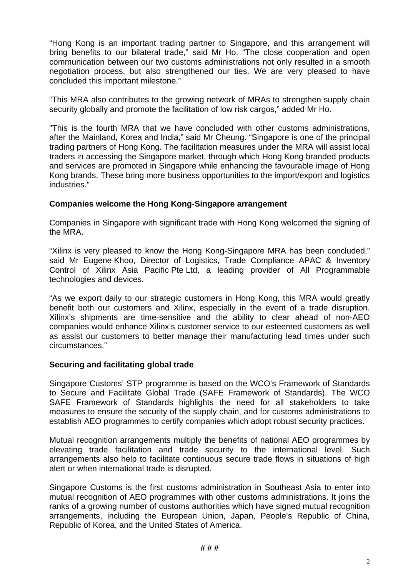"Hong Kong is an important trading partner to Singapore, and this arrangement will bring benefits to our bilateral trade," said Mr Ho. "The close cooperation and open communication between our two customs administrations not only resulted in a smooth negotiation process, but also strengthened our ties. We are very pleased to have concluded this important milestone."

"This MRA also contributes to the growing network of MRAs to strengthen supply chain security globally and promote the facilitation of low risk cargos," added Mr Ho.

"This is the fourth MRA that we have concluded with other customs administrations, after the Mainland, Korea and India," said Mr Cheung. "Singapore is one of the principal trading partners of Hong Kong. The facilitation measures under the MRA will assist local traders in accessing the Singapore market, through which Hong Kong branded products and services are promoted in Singapore while enhancing the favourable image of Hong Kong brands. These bring more business opportunities to the import/export and logistics industries."

### **Companies welcome the Hong Kong-Singapore arrangement**

Companies in Singapore with significant trade with Hong Kong welcomed the signing of the MRA.

"Xilinx is very pleased to know the Hong Kong-Singapore MRA has been concluded," said Mr Eugene Khoo, Director of Logistics, Trade Compliance APAC & Inventory Control of Xilinx Asia Pacific Pte Ltd, a leading provider of All Programmable technologies and devices.

"As we export daily to our strategic customers in Hong Kong, this MRA would greatly benefit both our customers and Xilinx, especially in the event of a trade disruption. Xilinx's shipments are time-sensitive and the ability to clear ahead of non-AEO companies would enhance Xilinx's customer service to our esteemed customers as well as assist our customers to better manage their manufacturing lead times under such circumstances."

#### **Securing and facilitating global trade**

Singapore Customs' STP programme is based on the WCO's Framework of Standards to Secure and Facilitate Global Trade (SAFE Framework of Standards). The WCO SAFE Framework of Standards highlights the need for all stakeholders to take measures to ensure the security of the supply chain, and for customs administrations to establish AEO programmes to certify companies which adopt robust security practices.

Mutual recognition arrangements multiply the benefits of national AEO programmes by elevating trade facilitation and trade security to the international level. Such arrangements also help to facilitate continuous secure trade flows in situations of high alert or when international trade is disrupted.

Singapore Customs is the first customs administration in Southeast Asia to enter into mutual recognition of AEO programmes with other customs administrations. It joins the ranks of a growing number of customs authorities which have signed mutual recognition arrangements, including the European Union, Japan, People's Republic of China, Republic of Korea, and the United States of America.